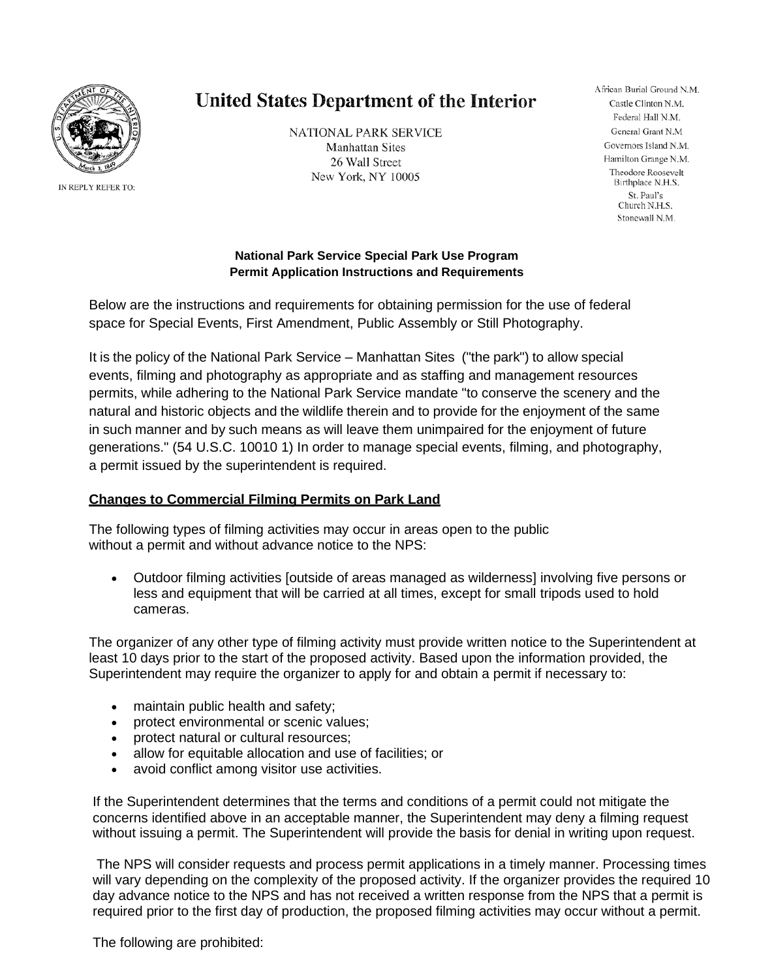

IN REPLY REFER TO:

# **United States Department of the Interior**

**NATIONAL PARK SERVICE Manhattan Sites** 26 Wall Street New York, NY 10005

African Burial Ground N.M. Castle Clinton N.M. Federal Hall N.M. General Grant N.M Governors Island N.M. Hamilton Grange N.M. Theodore Roosevelt Birthplace N.H.S. St. Paul's Church N.H.S. Stonewall N.M.

#### **National Park Service Special Park Use Program Permit Application Instructions and Requirements**

Below are the instructions and requirements for obtaining permission for the use of federal space for Special Events, First Amendment, Public Assembly or Still Photography.

It is the policy of the National Park Service – Manhattan Sites ("the park") to allow special events, filming and photography as appropriate and as staffing and management resources permits, while adhering to the National Park Service mandate "to conserve the scenery and the natural and historic objects and the wildlife therein and to provide for the enjoyment of the same in such manner and by such means as will leave them unimpaired for the enjoyment of future generations." (54 U.S.C. 10010 1) In order to manage special events, filming, and photography, a permit issued by the superintendent is required.

# **Changes to Commercial Filming Permits on Park Land**

The following types of filming activities may occur in areas open to the public without a permit and without advance notice to the NPS:

• Outdoor filming activities [outside of areas managed as wilderness] involving five persons or less and equipment that will be carried at all times, except for small tripods used to hold cameras.

The organizer of any other type of filming activity must provide written notice to the Superintendent at least 10 days prior to the start of the proposed activity. Based upon the information provided, the Superintendent may require the organizer to apply for and obtain a permit if necessary to:

- maintain public health and safety;
- protect environmental or scenic values;
- protect natural or cultural resources;
- allow for equitable allocation and use of facilities; or
- avoid conflict among visitor use activities.

If the Superintendent determines that the terms and conditions of a permit could not mitigate the concerns identified above in an acceptable manner, the Superintendent may deny a filming request without issuing a permit. The Superintendent will provide the basis for denial in writing upon request.

The NPS will consider requests and process permit applications in a timely manner. Processing times will vary depending on the complexity of the proposed activity. If the organizer provides the required 10 day advance notice to the NPS and has not received a written response from the NPS that a permit is required prior to the first day of production, the proposed filming activities may occur without a permit.

The following are prohibited: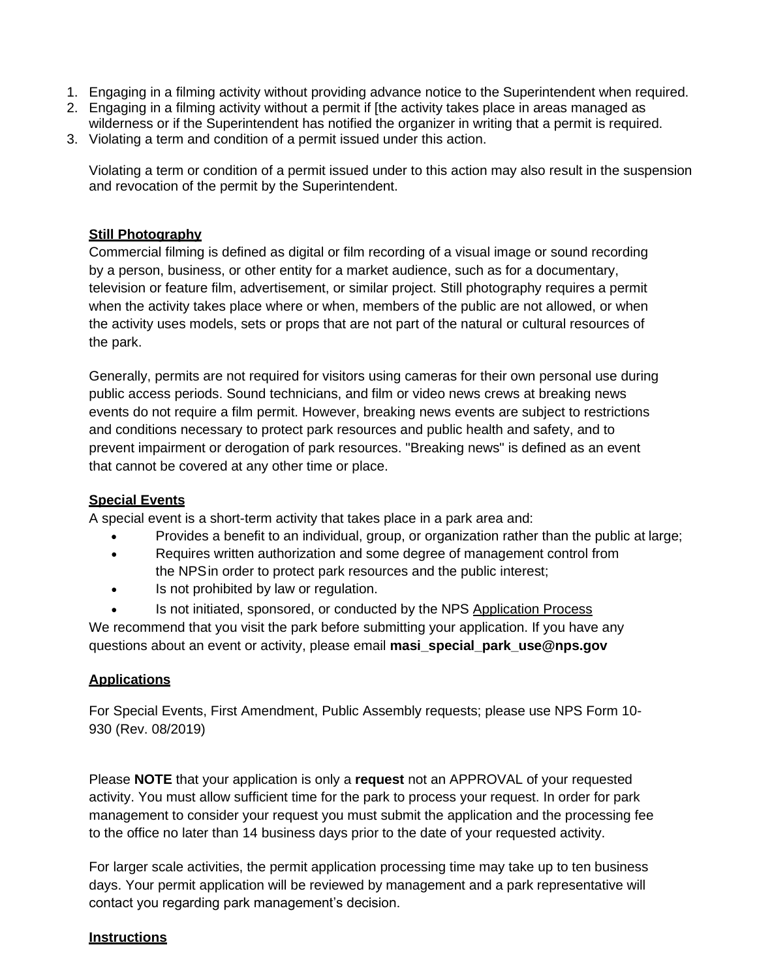- 1. Engaging in a filming activity without providing advance notice to the Superintendent when required.
- 2. Engaging in a filming activity without a permit if [the activity takes place in areas managed as wilderness or if the Superintendent has notified the organizer in writing that a permit is required.
- 3. Violating a term and condition of a permit issued under this action.

Violating a term or condition of a permit issued under to this action may also result in the suspension and revocation of the permit by the Superintendent.

## **Still Photography**

Commercial filming is defined as digital or film recording of a visual image or sound recording by a person, business, or other entity for a market audience, such as for a documentary, television or feature film, advertisement, or similar project. Still photography requires a permit when the activity takes place where or when, members of the public are not allowed, or when the activity uses models, sets or props that are not part of the natural or cultural resources of the park.

Generally, permits are not required for visitors using cameras for their own personal use during public access periods. Sound technicians, and film or video news crews at breaking news events do not require a film permit. However, breaking news events are subject to restrictions and conditions necessary to protect park resources and public health and safety, and to prevent impairment or derogation of park resources. "Breaking news" is defined as an event that cannot be covered at any other time or place.

#### **Special Events**

A special event is a short-term activity that takes place in a park area and:

- Provides a benefit to an individual, group, or organization rather than the public at large;
- Requires written authorization and some degree of management control from the NPSin order to protect park resources and the public interest;
- Is not prohibited by law or regulation.
- Is not initiated, sponsored, or conducted by the NPS Application Process

We recommend that you visit the park before submitting your application. If you have any questions about an event or activity, please email **[masi\\_special\\_park\\_use@nps.gov](mailto:masi_special_park_use@nps.gov)**

# **Applications**

For Special Events, First Amendment, Public Assembly requests; please use NPS Form 10- 930 (Rev. 08/2019)

Please **NOTE** that your application is only a **request** not an APPROVAL of your requested activity. You must allow sufficient time for the park to process your request. In order for park management to consider your request you must submit the application and the processing fee to the office no later than 14 business days prior to the date of your requested activity.

For larger scale activities, the permit application processing time may take up to ten business days. Your permit application will be reviewed by management and a park representative will contact you regarding park management's decision.

#### **Instructions**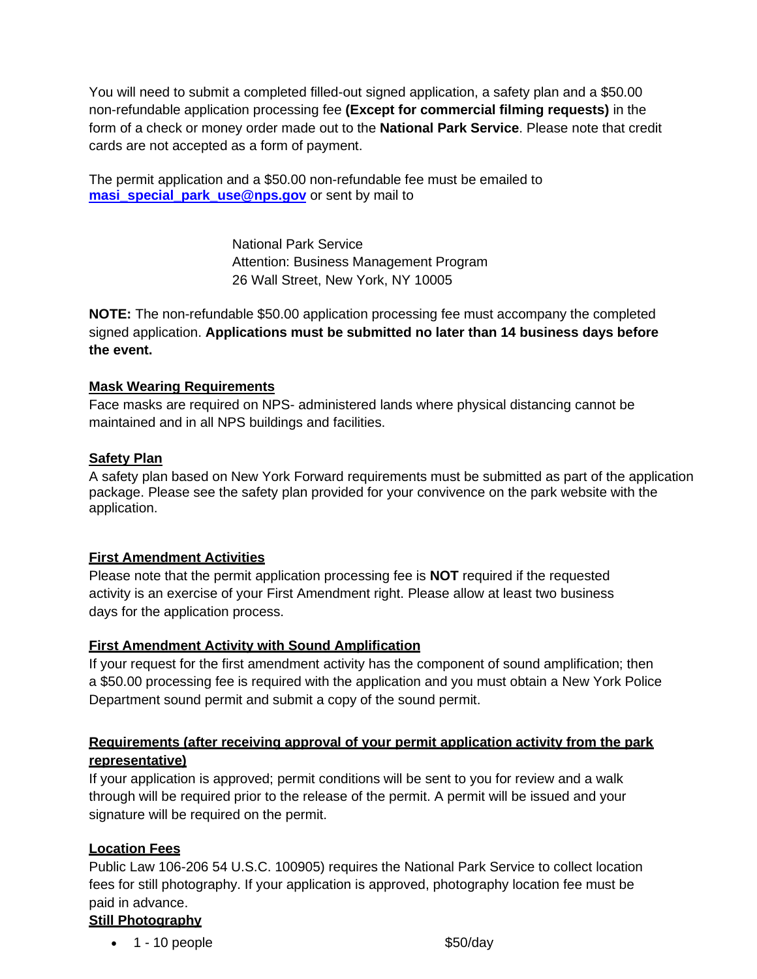You will need to submit a completed filled-out signed application, a safety plan and a \$50.00 non-refundable application processing fee **(Except for commercial filming requests)** in the form of a check or money order made out to the **National Park Service**. Please note that credit cards are not accepted as a form of payment.

The permit application and a \$50.00 non-refundable fee must be emailed to **[masi\\_special\\_park\\_use@nps.gov](mailto:masi_special_park_use@nps.gov)** or sent by mail to

> National Park Service Attention: Business Management Program 26 Wall Street, New York, NY 10005

**NOTE:** The non-refundable \$50.00 application processing fee must accompany the completed signed application. **Applications must be submitted no later than 14 business days before the event.** 

## **Mask Wearing Requirements**

Face masks are required on NPS- administered lands where physical distancing cannot be maintained and in all NPS buildings and facilities.

## **Safety Plan**

A safety plan based on New York Forward requirements must be submitted as part of the application package. Please see the safety plan provided for your convivence on the park website with the application.

#### **First Amendment Activities**

Please note that the permit application processing fee is **NOT** required if the requested activity is an exercise of your First Amendment right. Please allow at least two business days for the application process.

# **First Amendment Activity with Sound Amplification**

If your request for the first amendment activity has the component of sound amplification; then a \$50.00 processing fee is required with the application and you must obtain a New York Police Department sound permit and submit a copy of the sound permit.

# **Requirements (after receiving approval of your permit application activity from the park representative)**

If your application is approved; permit conditions will be sent to you for review and a walk through will be required prior to the release of the permit. A permit will be issued and your signature will be required on the permit.

#### **Location Fees**

Public Law 106-206 54 U.S.C. 100905) requires the National Park Service to collect location fees for still photography. If your application is approved, photography location fee must be paid in advance.

# **Still Photography**

•  $1 - 10$  people  $$50/day$